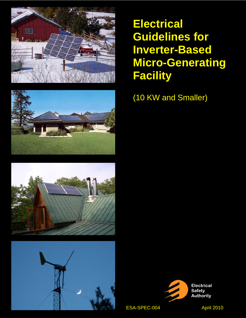







# **Electrical Guidelines for Inverter-Based Micro-Generating Facility**

(10 KW and Smaller)



ESA-SPEC-004 April 2010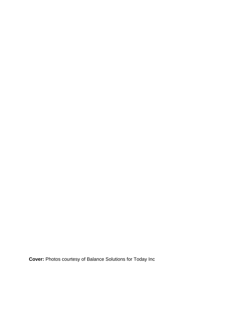**Cover:** Photos courtesy of Balance Solutions for Today Inc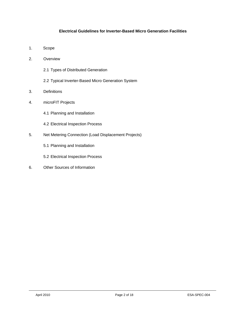### **Electrical Guidelines for Inverter-Based Micro Generation Facilities**

- 1. Scope
- 2. Overview
	- 2.1 Types of Distributed Generation
	- 2.2 Typical Inverter-Based Micro Generation System
- 3. Definitions
- 4. microFIT Projects
	- 4.1 Planning and Installation
	- 4.2 Electrical Inspection Process
- 5. Net Metering Connection (Load Displacement Projects)
	- 5.1 Planning and Installation
	- 5.2 Electrical Inspection Process
- 6. Other Sources of Information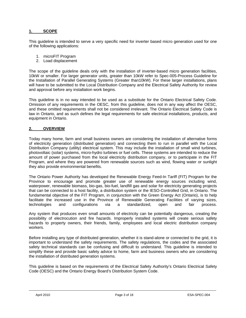### **1. SCOPE**

This guideline is intended to serve a very specific need for inverter based micro generation used for one of the following applications:

- 1. microFIT Program
- 2. Load displacement

The scope of the guideline deals only with the installation of inverter-based micro generation facilities, 10kW or smaller. For larger generator units, greater than 10kW refer to Spec-005-Process Guideline for the Installation of Parallel Generating Systems (Greater than10kW). For these larger installations, plans will have to be submitted to the Local Distribution Company and the Electrical Safety Authority for review and approval before any installation work begins.

This guideline is in no way intended to be used as a substitute for the Ontario Electrical Safety Code. Omission of any requirements in the OESC, from this guideline, does not in any way affect the OESC, and these omitted requirements shall not be considered irrelevant. The Ontario Electrical Safety Code is law in Ontario, and as such defines the legal requirements for safe electrical installations, products, and equipment in Ontario.

### **2. OVERVIEW**

Today many home, farm and small business owners are considering the installation of alternative forms of electricity generation (distributed generation) and connecting them to run in parallel with the Local Distribution Company (utility) electrical system. This may include the installation of small wind turbines, photovoltaic (solar) systems, micro-hydro turbines or fuel cells. These systems are intended to reduce the amount of power purchased from the local electricity distribution company, or to participate in the FIT Program, and where they are powered from renewable sources such as wind, flowing water or sunlight they also provide environmental benefits.

The Ontario Power Authority has developed the Renewable Energy Feed-In Tariff (FIT) Program for the Province to encourage and promote greater use of renewable energy sources including wind, waterpower, renewable biomass, bio-gas, bio-fuel, landfill gas and solar for electricity generating projects that can be connected to a host facility, a distribution system or the IESO-Controlled Grid, in Ontario. The fundamental objective of the FIT Program, in conjunction with the Green Energy Act (Ontario), is to help facilitate the increased use in the Province of Renewable Generating Facilities of varying sizes, technologies and configurations via a standardized, open and fair process.

Any system that produces even small amounts of electricity can be potentially dangerous, creating the possibility of electrocution and fire hazards. Improperly installed systems will create serious safety hazards to property owners, their friends, family, employees and local electric distribution company workers.

Before installing any type of distributed generation, whether it is stand-alone or connected to the grid, it is important to understand the safety requirements. The safety regulations, the codes and the associated safety technical standards can be confusing and difficult to understand. This guideline is intended to simplify these and provide basic safety advice to home, farm and business owners who are considering the installation of distributed generation systems.

This guideline is based on the requirements of the Electrical Safety Authority's Ontario Electrical Safety Code (OESC) and the Ontario Energy Board's Distribution System Code.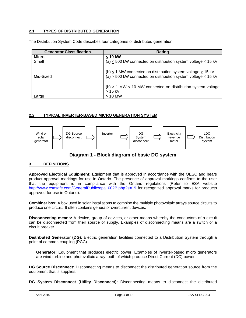### **2.1 TYPES OF DISTRIBUTED GENERATION**

The Distribution System Code describes four categories of distributed generation.

| <b>Generator Classification</b> | Rating                                                                     |  |  |
|---------------------------------|----------------------------------------------------------------------------|--|--|
| <b>Micro</b>                    | $< 10$ kW                                                                  |  |  |
| Small                           | (a) $<$ 500 kW connected on distribution system voltage $<$ 15 kV          |  |  |
|                                 | (b) < 1 MW connected on distribution system voltage > 15 kV                |  |  |
| Mid-Sized                       | (a) $>$ 500 kW connected on distribution system voltage $<$ 15 kV          |  |  |
|                                 | $(b)$ > 1 MW < 10 MW connected on distribution system voltage<br>$> 15$ kV |  |  |
| Large                           | $> 10$ MW                                                                  |  |  |

### **2.2 TYPICAL INVERTER-BASED MICRO GENERATION SYSTEM**



**Diagram 1 - Block diagram of basic DG system** 

### **3. DEFINITIONS**

**Approved Electrical Equipment:** Equipment that is approved in accordance with the OESC and bears product approval markings for use in Ontario. The presence of approval markings confirms to the user that the equipment is in compliance with the Ontario regulations (Refer to ESA website http://www.esasafe.com/GeneralPublic/epa\_002B.php?s=19 for recognized approval marks for products approved for use in Ontario).

**Combiner box:** A box used in solar installations to combine the multiple photovoltaic arrays source circuits to produce one circuit. It often contains generator overcurrent devices.

**Disconnecting means:** A device, group of devices, or other means whereby the conductors of a circuit can be disconnected from their source of supply. Examples of disconnecting means are a switch or a circuit breaker.

**Distributed Generator (DG):** Electric generation facilities connected to a Distribution System through a point of common coupling (PCC).

**Generator:** Equipment that produces electric power. Examples of inverter-based micro generators are wind turbine and photovoltaic array, both of which produce Direct Current (DC) power.

**DG Source Disconnect:** Disconnecting means to disconnect the distributed generation source from the equipment that is supplies.

**DG System Disconnect (Utility Disconnect):** Disconnecting means to disconnect the distributed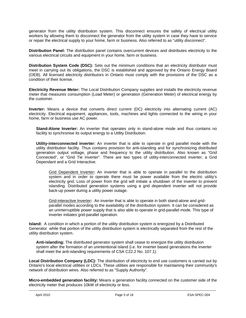generator from the utility distribution system. This disconnect ensures the safety of electrical utility workers by allowing them to disconnect the generator from the utility system in case they have to service or repair the electrical supply to your home, farm or business. Also referred to as "utility disconnect".

**Distribution Panel:** The distribution panel contains overcurrent devices and distributes electricity to the various electrical circuits and equipment in your home, farm or business.

**Distribution System Code (DSC):** Sets out the minimum conditions that an electricity distributor must meet in carrying out its obligations, the DSC is established and approved by the Ontario Energy Board (OEB). All licensed electricity distributors in Ontario must comply with the provisions of the DSC as a condition of their license.

**Electricity Revenue Meter:** The Local Distribution Company supplies and installs the electricity revenue meter that measures consumption (Load Meter) or generation (Generation Meter) of electrical energy by the customer.

**Inverter:** Means a device that converts direct current (DC) electricity into alternating current (AC) electricity. Electrical equipment, appliances, tools, machines and lights connected to the wiring in your home, farm or business use AC power.

**Stand-Alone Inverter:** An inverter that operates only in stand-alone mode and thus contains no facility to synchronise its output energy to a Utility Distribution.

**Utility-interconnected inverter:** An inverter that is able to operate in grid parallel mode with the utility distribution facility. Thus contains provision for anti-islanding and for synchronizing distributed generation output voltage, phase and frequency to the utility distribution. Also known as "Grid Connected", or "Grid Tie Inverter". There are two types of utility-interconnected inverter; a Grid Dependant and a Grid Interactive.

Grid Dependent Inverter**:** An inverter that is able to operate in parallel to the distribution system and in order to operate there must be power available from the electric utility's electricity grid. Loss of power from the grid will initiate a shutdown of the inverter to prevent islanding. Distributed generation systems using a grid dependent inverter will not provide back-up power during a utility power outage.

Grid-interactive Inverter**:** An inverter that is able to operate in both stand-alone and gridparallel modes according to the availability of the distribution system. It can be considered as an uninterruptible power supply that is also able to operate in grid-parallel mode. This type of inverter initiates grid-parallel operation.

**Island:** A condition in which a portion of the utility distribution system is energized by a Distributed Generator while that portion of the utility distribution system is electrically separated from the rest of the utility distribution system.

**Anti-islanding:** The distributed generator system shall cease to energize the utility distribution system after the formation of an unintentional island (i.e. for inverter based generations the inverter shall meet the anti-islanding requirements of CSA C22.2 No. 107.1).

**Local Distribution Company (LDC):** The distribution of electricity to end use customers is carried out by Ontario's local electrical utilities or LDCs. These utilities are responsible for maintaining their community's network of distribution wires. Also referred to as "Supply Authority".

**Micro-embedded generation facility:** Means a generation facility connected on the customer side of the electricity meter that produces 10kW of electricity or less.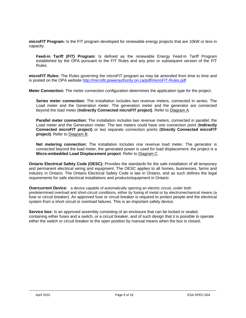**microFIT Program:** Is the FIT program developed for renewable energy projects that are 10kW or less in capacity.

**Feed-in Tariff (FIT) Program:** Is defined as the renewable Energy Feed-In Tariff Program established by the OPA pursuant to the FIT Rules and any prior or subsequent version of the FIT Rules.

**microFIT Rules:** The Rules governing the microFIT program as may be amended from time to time and is posted on the OPA website http://microfit.powerauthority.on.ca/pdf/microFIT-Rules.pdf

**Meter Connection:** The meter connection configuration determines the application type for the project.

**Series meter connection:** The installation includes two revenue meters, connected in series. The Load meter and the Generation meter. The generation meter and the generator are connected beyond the load meter (**Indirectly Connected microFIT project)**. Refer to Diagram A.

**Parallel meter connection:** The installation includes two revenue meters, connected in parallel; the Load meter and the Generation meter. The two meters could have one connection point (**Indirectly Connected microFIT project)** or two separate connection points (**Directly Connected microFIT project)**. Refer to Diagram B.

**Net metering connection:** The installation includes one revenue load meter. The generator is connected beyond the load meter, the generated power is used for load displacement; the project is a **Micro-embedded Load Displacement project**. Refer to Diagram C.

**Ontario Electrical Safety Code (OESC):** Provides the standards for the safe installation of all temporary and permanent electrical wiring and equipment. The OESC applies to all homes, businesses, farms and industry in Ontario. The Ontario Electrical Safety Code is law in Ontario, and as such defines the legal requirements for safe electrical installations and products/equipment in Ontario

**Overcurrent Device:** a device capable of automatically opening an electric circuit, under both predetermined overload and short-circuit conditions, either by fusing of metal or by electromechanical means (a fuse or circuit breaker). An approved fuse or circuit breaker is required to protect people and the electrical system from a short circuit or overload failures. This is an important safety device.

**Service box:** Is an approved assembly consisting of an enclosure that can be locked or sealed, containing either fuses and a switch, or a circuit breaker, and of such design that it is possible to operate either the switch or circuit breaker to the open position by manual means when the box is closed**.**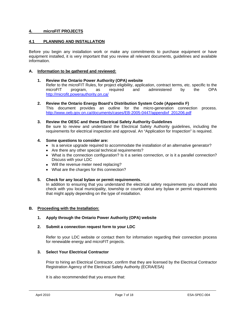### **4. microFIT PROJECTS**

### **4.1 PLANNING AND INSTALLATION**

Before you begin any installation work or make any commitments to purchase equipment or have equipment installed, it is very important that you review all relevant documents, guidelines and available information.

### **A. Information to be gathered and reviewed:**

- **1. Review the Ontario Power Authority (OPA) website**  Refer to the microFIT Rules, for project eligibility, application, contract terms, etc. specific to the microFIT program, as required and administered by the OPA http://microfit.powerauthority.on.ca/
- **2. Review the Ontario Energy Board's Distribution System Code (Appendix F)**  This document provides an outline for the micro-generation connection process.

http://www.oeb.gov.on.ca/documents/cases/EB-2005-0447/appendixf\_201206.pdf

**3. Review the OESC and these Electrical Safety Authority Guidelines** Be sure to review and understand the Electrical Safety Authority guidelines, including the requirements for electrical inspection and approval. An "Application for Inspection" is required.

### **4. Some questions to consider are:**

- Is a service upgrade required to accommodate the installation of an alternative generator?
- Are there any other special technical requirements?
- What is the connection configuration? Is it a series connection, or is it a parallel connection? Discuss with your LDC
- Will the revenue meter need replacing?
- What are the charges for this connection?

### **5. Check for any local bylaw or permit requirements.**

In addition to ensuring that you understand the electrical safety requirements you should also check with you local municipality, township or county about any bylaw or permit requirements that might apply depending on the type of installation.

### **B. Proceeding with the Installation:**

### **1. Apply through the Ontario Power Authority (OPA) website**

### **2. Submit a connection request form to your LDC**

Refer to your LDC website or contact them for information regarding their connection process for renewable energy and microFIT projects.

### **3. Select Your Electrical Contractor**

Prior to hiring an Electrical Contractor, confirm that they are licensed by the Electrical Contractor Registration Agency of the Electrical Safety Authority (ECRA/ESA)

It is also recommended that you ensure that: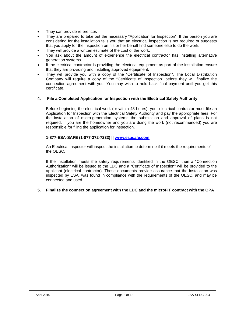- They can provide references
- They are prepared to take out the necessary "Application for Inspection". If the person you are considering for the installation tells you that an electrical inspection is not required or suggests that you apply for the inspection on his or her behalf find someone else to do the work.
- They will provide a written estimate of the cost of the work.
- You ask about the amount of experience the electrical contractor has installing alternative generation systems.
- If the electrical contractor is providing the electrical equipment as part of the installation ensure that they are providing and installing approved equipment.
- They will provide you with a copy of the "Certificate of Inspection". The Local Distribution Company will require a copy of the "Certificate of Inspection" before they will finalize the connection agreement with you. You may wish to hold back final payment until you get this certificate.

### **4. File a Completed Application for Inspection with the Electrical Safety Authority**

Before beginning the electrical work (or within 48 hours), your electrical contractor must file an Application for Inspection with the Electrical Safety Authority and pay the appropriate fees. For the installation of micro-generation systems the submission and approval of plans is not required. If you are the homeowner and you are doing the work (not recommended) you are responsible for filing the application for inspection.

### **1-877-ESA-SAFE (1-877-372-7233) || www.esasafe.com**

An Electrical Inspector will inspect the installation to determine if it meets the requirements of the OESC.

If the installation meets the safety requirements identified in the OESC, then a "Connection Authorization" will be issued to the LDC and a "Certificate of Inspection" will be provided to the applicant (electrical contractor). These documents provide assurance that the installation was inspected by ESA, was found in compliance with the requirements of the OESC, and may be connected and used.

### **5. Finalize the connection agreement with the LDC and the microFIT contract with the OPA**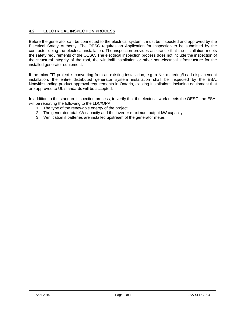### **4.2 ELECTRICAL INSPECTION PROCESS**

Before the generator can be connected to the electrical system it must be inspected and approved by the Electrical Safety Authority. The OESC requires an Application for Inspection to be submitted by the contractor doing the electrical installation. The inspection provides assurance that the installation meets the safety requirements of the OESC. The electrical inspection process does not include the inspection of the structural integrity of the roof, the windmill installation or other non-electrical infrastructure for the installed generator equipment.

If the microFIT project is converting from an existing installation, e.g. a Net-metering/Load displacement installation, the entire distributed generator system installation shall be inspected by the ESA. Notwithstanding product approval requirements in Ontario, existing installations including equipment that are approved to UL standards will be accepted.

In addition to the standard inspection process, to verify that the electrical work meets the OESC, the ESA will be reporting the following to the LDC/OPA:

- 1. The type of the renewable energy of the project.
- 2. The generator total kW capacity and the inverter maximum output kW capacity
- 3. Verification if batteries are installed upstream of the generator meter.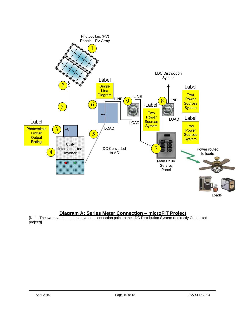

# **Diagram A: Series Meter Connection – microFIT Project**

[Note: The two revenue meters have one connection point to the LDC Distribution System (Indirectly Connected project)]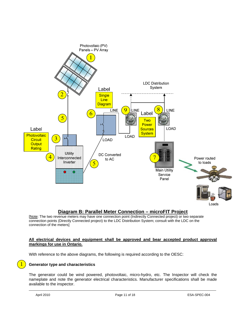

## **Diagram B: Parallel Meter Connection – microFIT Project**

[Note: The two revenue meters may have one connection point (Indirectly Connected project) or two separate connection points (Directly Connected project) to the LDC Distribution System; consult with the LDC on the connection of the meters]

### **All electrical devices and equipment shall be approved and bear accepted product approval markings for use in Ontario.**

With reference to the above diagrams, the following is required according to the OESC:

# 1

### **Generator type and characteristics**

The generator could be wind powered, photovoltaic, micro-hydro, etc. The Inspector will check the nameplate and note the generator electrical characteristics. Manufacturer specifications shall be made available to the inspector.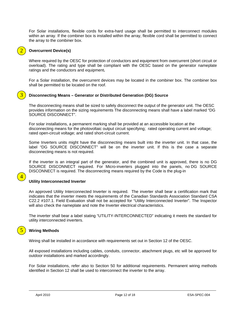For Solar installations, flexible cords for extra-hard usage shall be permitted to interconnect modules within an array. If the combiner box is installed within the array, flexible cord shall be permitted to connect the array to the combiner box.



3

4

5

### **Overcurrent Device(s)**

Where required by the OESC for protection of conductors and equipment from overcurrent (short circuit or overload). The rating and type shall be compliant with the OESC based on the generator nameplate ratings and the conductors and equipment**.** 

For a Solar installation, the overcurrent devices may be located in the combiner box. The combiner box shall be permitted to be located on the roof.

### **Disconnecting Means – Generator or Distributed Generation (DG) Source**

The disconnecting means shall be sized to safely disconnect the output of the generator unit. The OESC provides information on the sizing requirements The disconnecting means shall have a label marked "DG SOURCE DISCONNECT".

For solar installations, a permanent marking shall be provided at an accessible location at the disconnecting means for the photovoltaic output circuit specifying; rated operating current and voltage; rated open-circuit voltage; and rated short-circuit current.

Some Inverters units might have the disconnecting means built into the inverter unit. In that case, the label "DG SOURCE DISCONNECT" will be on the inverter unit. If this is the case a separate disconnecting means is not required.

If the inverter is an integral part of the generator, and the combined unit is approved, there is no DG SOURCE DISCONNECT required. For Micro-inverters plugged into the panels, no DG SOURCE DISCONNECT is required. The disconnecting means required by the Code is the plug-in

### **Utility Interconnected Inverter**

An approved Utility Interconnected Inverter is required. The inverter shall bear a certification mark that indicates that the inverter meets the requirements of the Canadian Standards Association Standard CSA C22.2 #107.1. Field Evaluation shall not be accepted for "Utility Interconnected Inverter". The Inspector will also check the nameplate and note the Inverter electrical characteristics.

The inverter shall bear a label stating "UTILITY-INTERCONNECTED" indicating it meets the standard for utility interconnected inverters.

### **Wiring Methods**

Wiring shall be installed in accordance with requirements set out in Section 12 of the OESC.

All exposed installations including cables, conduits, connector, attachment plugs, etc will be approved for outdoor installations and marked accordingly.

For Solar installations, refer also to Section 50 for additional requirements. Permanent wiring methods identified in Section 12 shall be used to interconnect the inverter to the array.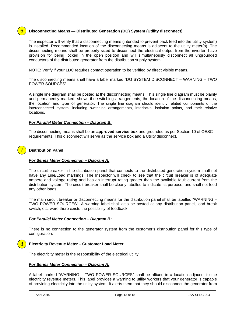### **Disconnecting Means — Distributed Generation (DG) System (Utility disconnect)**

The inspector will verify that a disconnecting means (intended to prevent back feed into the utility system) is installed. Recommended location of the disconnecting means is adjacent to the utility meter(s). The disconnecting means shall be properly sized to disconnect the electrical output from the inverter, have provision for being locked in the open position and will simultaneously disconnect all ungrounded conductors of the distributed generator from the distribution supply system.

NOTE: Verify if your LDC requires contact operation to be verified by direct visible means.

The disconnecting means shall have a label marked "DG SYSTEM DISCONNECT – WARNING – TWO POWER SOURCES".

A single line diagram shall be posted at the disconnecting means. This single line diagram must be plainly and permanently marked, shows the switching arrangements, the location of the disconnecting means, the location and type of generator. The single line diagram should identify related components of the interconnected system, including switching arrangements, interlocks, isolation points, and their relative locations.

### *For Parallel Meter Connection – Diagram B:*

The disconnecting means shall be an **approved service box** and grounded as per Section 10 of OESC requirements. This disconnect will serve as the service box and a Utility disconnect.

### **Distribution Panel**

7

8

6

### *For Series Meter Connection – Diagram A:*

The circuit breaker in the distribution panel that connects to the distributed generation system shall not have any Line/Load markings. The Inspector will check to see that the circuit breaker is of adequate ampere and voltage rating and has an interrupt rating greater than the available fault current from the distribution system. The circuit breaker shall be clearly labelled to indicate its purpose, and shall not feed any other loads.

The main circuit breaker or disconnecting means for the distribution panel shall be labelled "WARNING – TWO POWER SOURCES". A warning label shall also be posted at any distribution panel, load break switch, etc, were there exists the possibility of feedback.

### *For Parallel Meter Connection – Diagram B:*

There is no connection to the generator system from the customer's distribution panel for this type of configuration.

### **Electricity Revenue Meter – Customer Load Meter**

The electricity meter is the responsibility of the electrical utility.

### *For Series Meter Connection – Diagram A:*

A label marked "WARNING – TWO POWER SOURCES" shall be affixed in a location adjacent to the electricity revenue meters. This label provides a warning to utility workers that your generator is capable of providing electricity into the utility system. It alerts them that they should disconnect the generator from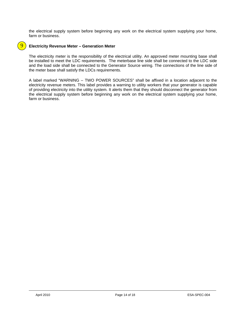the electrical supply system before beginning any work on the electrical system supplying your home, farm or business.



### **Electricity Revenue Meter – Generation Meter**

The electricity meter is the responsibility of the electrical utility. An approved meter mounting base shall be installed to meet the LDC requirements. The meterbase line side shall be connected to the LDC side and the load side shall be connected to the Generator Source wiring. The connections of the line side of the meter base shall satisfy the LDCs requirements.

A label marked "WARNING – TWO POWER SOURCES" shall be affixed in a location adjacent to the electricity revenue meters. This label provides a warning to utility workers that your generator is capable of providing electricity into the utility system. It alerts them that they should disconnect the generator from the electrical supply system before beginning any work on the electrical system supplying your home, farm or business.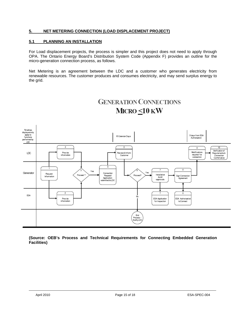### **5. NET METERING CONNECTION (LOAD DISPLACEMENT PROJECT)**

### **5.1 PLANNING AN INSTALLATION**

For Load displacement projects, the process is simpler and this project does not need to apply through OPA. The Ontario Energy Board's Distribution System Code (Appendix F) provides an outline for the micro-generation connection process, as follows.

Net Metering is an agreement between the LDC and a customer who generates electricity from renewable resources. The customer produces and consumes electricity, and may send surplus energy to the grid.



**(Source: OEB's Process and Technical Requirements for Connecting Embedded Generation Facilities)**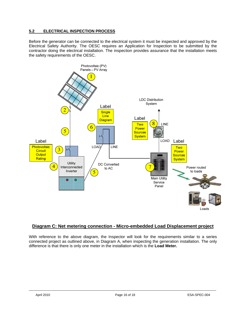### **5.2 ELECTRICAL INSPECTION PROCESS**

Before the generator can be connected to the electrical system it must be inspected and approved by the Electrical Safety Authority. The OESC requires an Application for Inspection to be submitted by the contractor doing the electrical installation. The inspection provides assurance that the installation meets the safety requirements of the OESC.



### **Diagram C: Net metering connection - Micro-embedded Load Displacement project**

With reference to the above diagram, the Inspector will look for the requirements similar to a series connected project as outlined above, in Diagram A, when inspecting the generation installation. The only difference is that there is only one meter in the installation which is the **Load Meter.**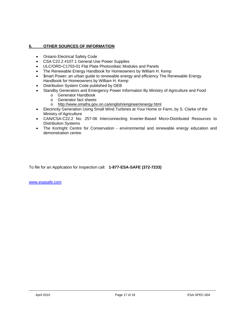### **6. OTHER SOURCES OF INFORMATION**

- Ontario Electrical Safety Code
- CSA C22.2 #107.1 General Use Power Supplies
- ULC/ORD-C1703-01 Flat Plate Photovoltaic Modules and Panels
- The Renewable Energy Handbook for Homeowners by William H. Kemp
- Smart Power; an urban guide to renewable energy and efficiency The Renewable Energy Handbook for Homeowners by William H. Kemp
- Distribution System Code published by OEB
- Standby Generators and Emergency Power Information By Ministry of Agriculture and Food
	- o Generator Handbook
	- o Generator fact sheets
	- o http://www.omafra.gov.on.ca/english/engineer/energy.html
- Electricity Generation Using Small Wind Turbines at Your Home or Farm, by S. Clarke of the Ministry of Agriculture
- CAN/CSA-C22.2 No. 257-06 Interconnecting Inverter-Based Micro-Distributed Resources to Distribution Systems
- The Kortright Centre for Conservation environmental and renewable energy education and demonstration centre.

To file for an Application for Inspection call: **1-877-ESA-SAFE (372-7233)**

www.esasafe.com